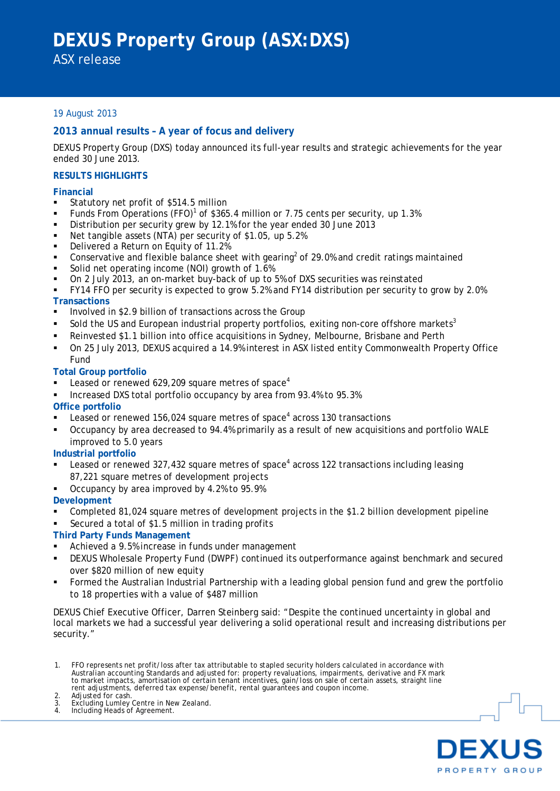## 19 August 2013

## **2013 annual results – A year of focus and delivery**

DEXUS Property Group (DXS) today announced its full-year results and strategic achievements for the year ended 30 June 2013.

## **RESULTS HIGHLIGHTS**

#### **Financial**

- Statutory net profit of \$514.5 million
- Funds From Operations (FFO)<sup>1</sup> of \$365.4 million or 7.75 cents per security, up 1.3%
- Distribution per security grew by 12.1% for the year ended 30 June 2013
- Net tangible assets (NTA) per security of \$1.05, up 5.2%
- Delivered a Return on Equity of 11.2%
- Conservative and flexible balance sheet with gearing<sup>2</sup> of 29.0% and credit ratings maintained
- Solid net operating income (NOI) growth of 1.6%
- On 2 July 2013, an on-market buy-back of up to 5% of DXS securities was reinstated
- FY14 FFO per security is expected to grow 5.2% and FY14 distribution per security to grow by 2.0% **Transactions**
- **Involved in \$2.9 billion of transactions across the Group**
- Sold the US and European industrial property portfolios, exiting non-core offshore markets<sup>3</sup>
- Reinvested \$1.1 billion into office acquisitions in Sydney, Melbourne, Brisbane and Perth
- On 25 July 2013, DEXUS acquired a 14.9% interest in ASX listed entity Commonwealth Property Office Fund

#### **Total Group portfolio**

- Leased or renewed  $629,209$  square metres of space<sup>4</sup>
- Increased DXS total portfolio occupancy by area from 93.4% to 95.3%

## **Office portfolio**

- Leased or renewed  $156,024$  square metres of space<sup>4</sup> across 130 transactions
- Occupancy by area decreased to 94.4% primarily as a result of new acquisitions and portfolio WALE improved to 5.0 years

#### **Industrial portfolio**

- Leased or renewed 327,432 square metres of space<sup>4</sup> across 122 transactions including leasing 87,221 square metres of development projects
- Occupancy by area improved by 4.2% to 95.9%

## **Development**

- Completed 81,024 square metres of development projects in the \$1.2 billion development pipeline
- Secured a total of \$1.5 million in trading profits

## **Third Party Funds Management**

- Achieved a 9.5% increase in funds under management
- DEXUS Wholesale Property Fund (DWPF) continued its outperformance against benchmark and secured over \$820 million of new equity
- Formed the Australian Industrial Partnership with a leading global pension fund and grew the portfolio to 18 properties with a value of \$487 million

DEXUS Chief Executive Officer, Darren Steinberg said: "Despite the continued uncertainty in global and local markets we had a successful year delivering a solid operational result and increasing distributions per security."

- 1. FFO represents net profit/loss after tax attributable to stapled security holders calculated in accordance with Australian accounting Standards and adjusted for: property revaluations, impairments, derivative and FX mark<br>to market impacts, amortisation of certain tenant incentives, gain/loss on sale of certain assets, straight line<br>
- 
- 2. Adjusted for cash.<br>3. Excluding Lumley<br>4. Including Heads of 3. Excluding Lumley Centre in New Zealand. 4. Including Heads of Agreement.
	-

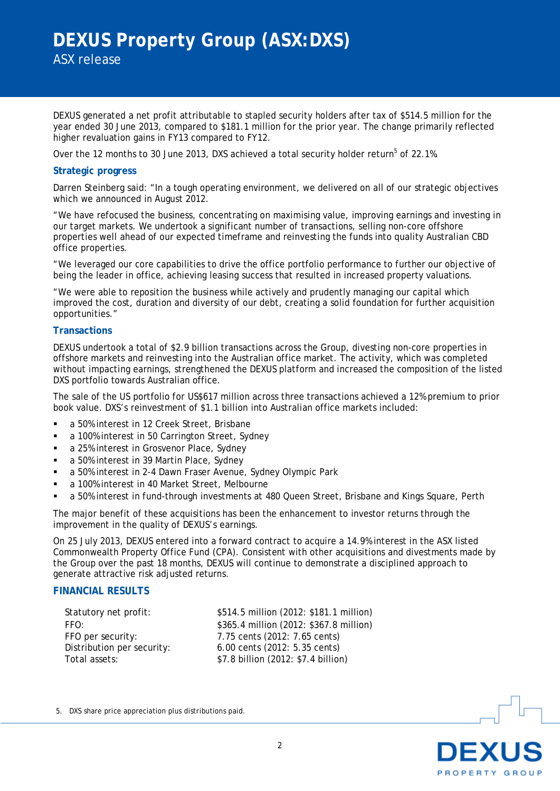DEXUS generated a net profit attributable to stapled security holders after tax of \$514.5 million for the year ended 30 June 2013, compared to \$181.1 million for the prior year. The change primarily reflected higher revaluation gains in FY13 compared to FY12.

Over the 12 months to 30 June 2013, DXS achieved a total security holder return<sup>5</sup> of 22.1%.

### **Strategic progress**

Darren Steinberg said: "In a tough operating environment, we delivered on all of our strategic objectives which we announced in August 2012.

"We have refocused the business, concentrating on maximising value, improving earnings and investing in our target markets. We undertook a significant number of transactions, selling non-core offshore properties well ahead of our expected timeframe and reinvesting the funds into quality Australian CBD office properties.

"We leveraged our core capabilities to drive the office portfolio performance to further our objective of being the leader in office, achieving leasing success that resulted in increased property valuations.

"We were able to reposition the business while actively and prudently managing our capital which improved the cost, duration and diversity of our debt, creating a solid foundation for further acquisition opportunities."

#### **Transactions**

DEXUS undertook a total of \$2.9 billion transactions across the Group, divesting non-core properties in offshore markets and reinvesting into the Australian office market. The activity, which was completed without impacting earnings, strengthened the DEXUS platform and increased the composition of the listed DXS portfolio towards Australian office.

The sale of the US portfolio for US\$617 million across three transactions achieved a 12% premium to prior book value. DXS's reinvestment of \$1.1 billion into Australian office markets included:

- a 50% interest in 12 Creek Street, Brisbane
- **a** 100% interest in 50 Carrington Street, Sydney
- a 25% interest in Grosvenor Place, Sydney
- a 50% interest in 39 Martin Place, Sydney
- a 50% interest in 2-4 Dawn Fraser Avenue, Sydney Olympic Park
- a 100% interest in 40 Market Street, Melbourne
- a 50% interest in fund-through investments at 480 Queen Street, Brisbane and Kings Square, Perth

The major benefit of these acquisitions has been the enhancement to investor returns through the improvement in the quality of DEXUS's earnings.

On 25 July 2013, DEXUS entered into a forward contract to acquire a 14.9% interest in the ASX listed Commonwealth Property Office Fund (CPA). Consistent with other acquisitions and divestments made by the Group over the past 18 months, DEXUS will continue to demonstrate a disciplined approach to generate attractive risk adjusted returns.

## **FINANCIAL RESULTS**

Statutory net profit: \$514.5 million (2012: \$181.1 million) FFO: \$365.4 million (2012: \$367.8 million) FFO per security: 7.75 cents (2012: 7.65 cents) Distribution per security: 6.00 cents (2012: 5.35 cents) Total assets: \$7.8 billion (2012: \$7.4 billion)

5. DXS share price appreciation plus distributions paid.

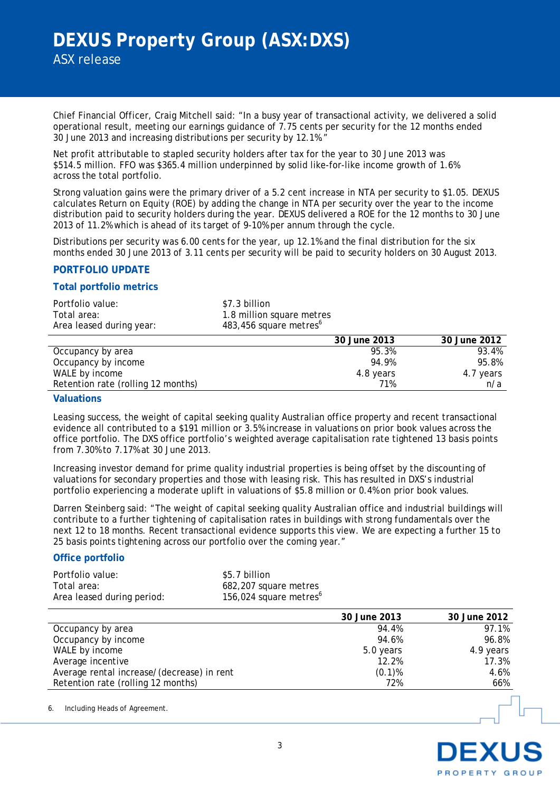Chief Financial Officer, Craig Mitchell said: "In a busy year of transactional activity, we delivered a solid operational result, meeting our earnings guidance of 7.75 cents per security for the 12 months ended 30 June 2013 and increasing distributions per security by 12.1%."

Net profit attributable to stapled security holders after tax for the year to 30 June 2013 was \$514.5 million. FFO was \$365.4 million underpinned by solid like-for-like income growth of 1.6% across the total portfolio.

Strong valuation gains were the primary driver of a 5.2 cent increase in NTA per security to \$1.05. DEXUS calculates Return on Equity (ROE) by adding the change in NTA per security over the year to the income distribution paid to security holders during the year. DEXUS delivered a ROE for the 12 months to 30 June 2013 of 11.2% which is ahead of its target of 9-10% per annum through the cycle.

Distributions per security was 6.00 cents for the year, up 12.1% and the final distribution for the six months ended 30 June 2013 of 3.11 cents per security will be paid to security holders on 30 August 2013.

#### **PORTFOLIO UPDATE**

#### **Total portfolio metrics**

| Portfolio value:         | \$7.3 billion                      |
|--------------------------|------------------------------------|
| Total area:              | 1.8 million square metres          |
| Area leased during year: | 483,456 square metres <sup>6</sup> |

|                                    | 30 June 2013 | 30 June 2012 |
|------------------------------------|--------------|--------------|
| Occupancy by area                  | 95.3%        | 93.4%        |
| Occupancy by income                | 94.9%        | 95.8%        |
| WALE by income                     | 4.8 years    | 4.7 years    |
| Retention rate (rolling 12 months) | 71%          | n/a          |

## **Valuations**

Leasing success, the weight of capital seeking quality Australian office property and recent transactional evidence all contributed to a \$191 million or 3.5% increase in valuations on prior book values across the office portfolio. The DXS office portfolio's weighted average capitalisation rate tightened 13 basis points from 7.30% to 7.17% at 30 June 2013.

Increasing investor demand for prime quality industrial properties is being offset by the discounting of valuations for secondary properties and those with leasing risk. This has resulted in DXS's industrial portfolio experiencing a moderate uplift in valuations of \$5.8 million or 0.4% on prior book values.

Darren Steinberg said: "The weight of capital seeking quality Australian office and industrial buildings will contribute to a further tightening of capitalisation rates in buildings with strong fundamentals over the next 12 to 18 months. Recent transactional evidence supports this view. We are expecting a further 15 to 25 basis points tightening across our portfolio over the coming year."

#### **Office portfolio**

| Portfolio value:           | \$5.7 billion                      |
|----------------------------|------------------------------------|
| Total area:                | 682,207 square metres              |
| Area leased during period: | 156,024 square metres <sup>6</sup> |

|                                            | 30 June 2013 | 30 June 2012 |
|--------------------------------------------|--------------|--------------|
| Occupancy by area                          | 94.4%        | 97.1%        |
| Occupancy by income                        | 94.6%        | 96.8%        |
| WALE by income                             | 5.0 years    | 4.9 years    |
| Average incentive                          | 12.2%        | 17.3%        |
| Average rental increase/(decrease) in rent | $(0.1)$ %    | 4.6%         |
| Retention rate (rolling 12 months)         | 72%          | 66%          |

6. Including Heads of Agreement.

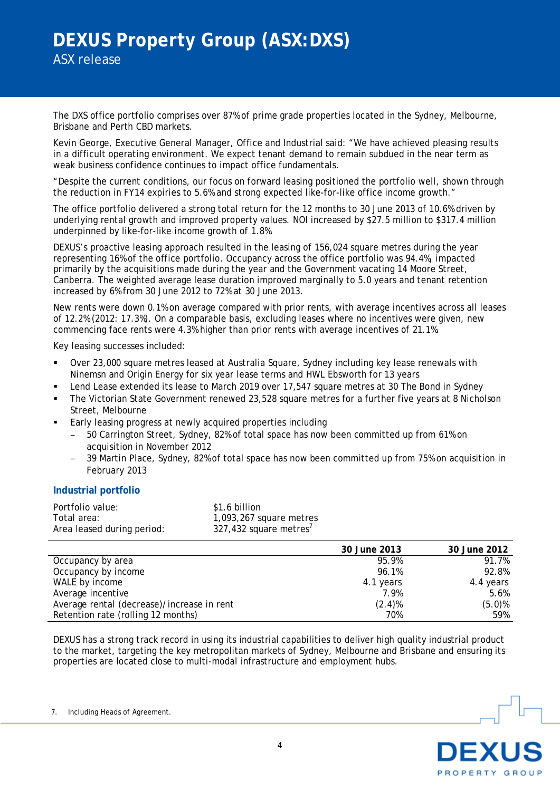The DXS office portfolio comprises over 87% of prime grade properties located in the Sydney, Melbourne, Brisbane and Perth CBD markets.

Kevin George, Executive General Manager, Office and Industrial said: "We have achieved pleasing results in a difficult operating environment. We expect tenant demand to remain subdued in the near term as weak business confidence continues to impact office fundamentals.

"Despite the current conditions, our focus on forward leasing positioned the portfolio well, shown through the reduction in FY14 expiries to 5.6% and strong expected like-for-like office income growth."

The office portfolio delivered a strong total return for the 12 months to 30 June 2013 of 10.6% driven by underlying rental growth and improved property values. NOI increased by \$27.5 million to \$317.4 million underpinned by like-for-like income growth of 1.8%.

DEXUS's proactive leasing approach resulted in the leasing of 156,024 square metres during the year representing 16% of the office portfolio. Occupancy across the office portfolio was 94.4%, impacted primarily by the acquisitions made during the year and the Government vacating 14 Moore Street, Canberra. The weighted average lease duration improved marginally to 5.0 years and tenant retention increased by 6% from 30 June 2012 to 72% at 30 June 2013.

New rents were down 0.1% on average compared with prior rents, with average incentives across all leases of 12.2% (2012: 17.3%). On a comparable basis, excluding leases where no incentives were given, new commencing face rents were 4.3% higher than prior rents with average incentives of 21.1%.

Key leasing successes included:

- Over 23,000 square metres leased at Australia Square, Sydney including key lease renewals with Ninemsn and Origin Energy for six year lease terms and HWL Ebsworth for 13 years
- Lend Lease extended its lease to March 2019 over 17,547 square metres at 30 The Bond in Sydney
- The Victorian State Government renewed 23,528 square metres for a further five years at 8 Nicholson Street, Melbourne
- Early leasing progress at newly acquired properties including
	- 50 Carrington Street, Sydney, 82% of total space has now been committed up from 61% on acquisition in November 2012
	- 39 Martin Place, Sydney, 82% of total space has now been committed up from 75% on acquisition in February 2013

## **Industrial portfolio**

| Portfolio value:           | \$1.6 billion                      |
|----------------------------|------------------------------------|
| Total area:                | 1,093,267 square metres            |
| Area leased during period: | 327,432 square metres <sup>7</sup> |

|                                            | 30 June 2013 | 30 June 2012 |
|--------------------------------------------|--------------|--------------|
| Occupancy by area                          | 95.9%        | 91.7%        |
| Occupancy by income                        | 96.1%        | 92.8%        |
| WALE by income                             | 4.1 years    | 4.4 years    |
| Average incentive                          | 7.9%         | 5.6%         |
| Average rental (decrease)/increase in rent | $(2.4)\%$    | $(5.0)\%$    |
| Retention rate (rolling 12 months)         | 70%          | 59%          |

DEXUS has a strong track record in using its industrial capabilities to deliver high quality industrial product to the market, targeting the key metropolitan markets of Sydney, Melbourne and Brisbane and ensuring its properties are located close to multi-modal infrastructure and employment hubs.

7. Including Heads of Agreement.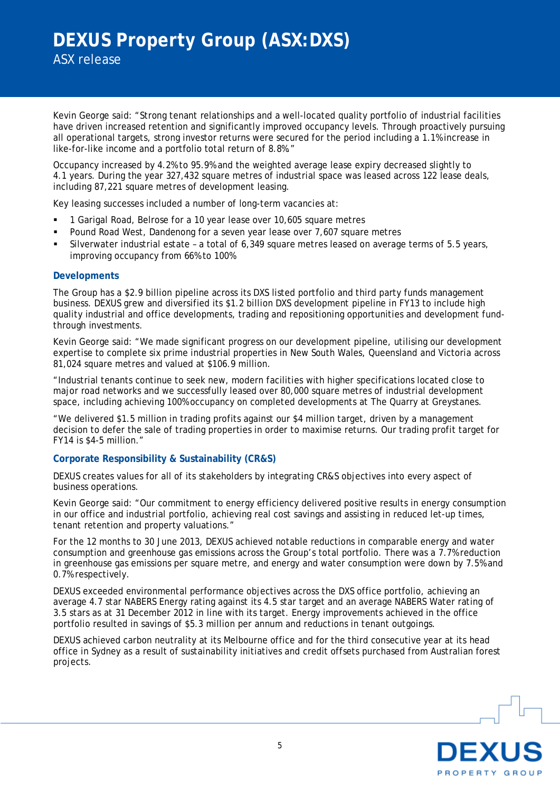Kevin George said: "Strong tenant relationships and a well-located quality portfolio of industrial facilities have driven increased retention and significantly improved occupancy levels. Through proactively pursuing all operational targets, strong investor returns were secured for the period including a 1.1% increase in like-for-like income and a portfolio total return of 8.8%."

Occupancy increased by 4.2% to 95.9% and the weighted average lease expiry decreased slightly to 4.1 years. During the year 327,432 square metres of industrial space was leased across 122 lease deals, including 87,221 square metres of development leasing.

Key leasing successes included a number of long-term vacancies at:

- **1 Garigal Road, Belrose for a 10 year lease over 10,605 square metres**
- Pound Road West, Dandenong for a seven year lease over 7,607 square metres
- Silverwater industrial estate a total of 6,349 square metres leased on average terms of 5.5 years, improving occupancy from 66% to 100%

#### **Developments**

The Group has a \$2.9 billion pipeline across its DXS listed portfolio and third party funds management business. DEXUS grew and diversified its \$1.2 billion DXS development pipeline in FY13 to include high quality industrial and office developments, trading and repositioning opportunities and development fundthrough investments.

Kevin George said: "We made significant progress on our development pipeline, utilising our development expertise to complete six prime industrial properties in New South Wales, Queensland and Victoria across 81,024 square metres and valued at \$106.9 million.

"Industrial tenants continue to seek new, modern facilities with higher specifications located close to major road networks and we successfully leased over 80,000 square metres of industrial development space, including achieving 100% occupancy on completed developments at The Quarry at Greystanes.

"We delivered \$1.5 million in trading profits against our \$4 million target, driven by a management decision to defer the sale of trading properties in order to maximise returns. Our trading profit target for FY14 is \$4-5 million."

## **Corporate Responsibility & Sustainability (CR&S)**

DEXUS creates values for all of its stakeholders by integrating CR&S objectives into every aspect of business operations.

Kevin George said: "Our commitment to energy efficiency delivered positive results in energy consumption in our office and industrial portfolio, achieving real cost savings and assisting in reduced let-up times, tenant retention and property valuations."

For the 12 months to 30 June 2013, DEXUS achieved notable reductions in comparable energy and water consumption and greenhouse gas emissions across the Group's total portfolio. There was a 7.7% reduction in greenhouse gas emissions per square metre, and energy and water consumption were down by 7.5% and 0.7% respectively.

DEXUS exceeded environmental performance objectives across the DXS office portfolio, achieving an average 4.7 star NABERS Energy rating against its 4.5 star target and an average NABERS Water rating of 3.5 stars as at 31 December 2012 in line with its target. Energy improvements achieved in the office portfolio resulted in savings of \$5.3 million per annum and reductions in tenant outgoings.

DEXUS achieved carbon neutrality at its Melbourne office and for the third consecutive year at its head office in Sydney as a result of sustainability initiatives and credit offsets purchased from Australian forest projects.

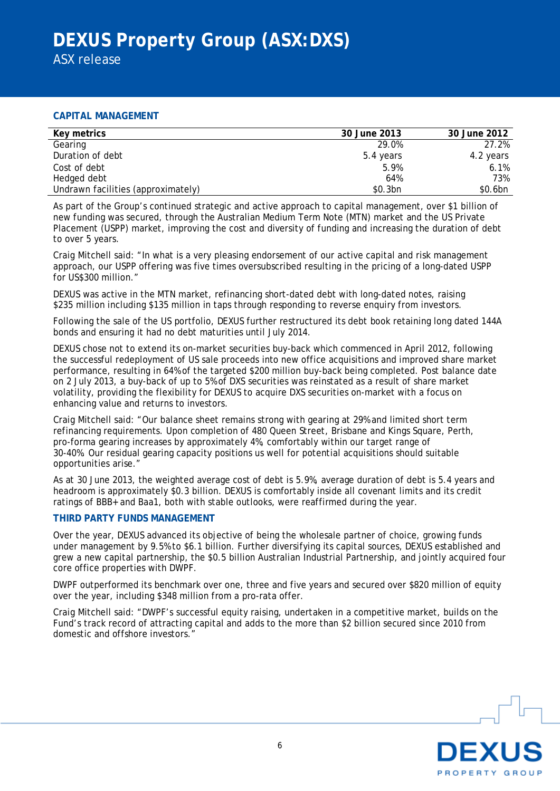## **CAPITAL MANAGEMENT**

| Key metrics                        | 30 June 2013 | 30 June 2012 |
|------------------------------------|--------------|--------------|
| Gearing                            | 29.0%        | 27.2%        |
| Duration of debt                   | 5.4 years    | 4.2 years    |
| Cost of debt                       | 5.9%         | 6.1%         |
| Hedged debt                        | 64%          | 73%          |
| Undrawn facilities (approximately) | \$0.3bn      | \$0.6bn      |

As part of the Group's continued strategic and active approach to capital management, over \$1 billion of new funding was secured, through the Australian Medium Term Note (MTN) market and the US Private Placement (USPP) market, improving the cost and diversity of funding and increasing the duration of debt to over 5 years.

Craig Mitchell said: "In what is a very pleasing endorsement of our active capital and risk management approach, our USPP offering was five times oversubscribed resulting in the pricing of a long-dated USPP for US\$300 million."

DEXUS was active in the MTN market, refinancing short-dated debt with long-dated notes, raising \$235 million including \$135 million in taps through responding to reverse enquiry from investors.

Following the sale of the US portfolio, DEXUS further restructured its debt book retaining long dated 144A bonds and ensuring it had no debt maturities until July 2014.

DEXUS chose not to extend its on-market securities buy-back which commenced in April 2012, following the successful redeployment of US sale proceeds into new office acquisitions and improved share market performance, resulting in 64% of the targeted \$200 million buy-back being completed. Post balance date on 2 July 2013, a buy-back of up to 5% of DXS securities was reinstated as a result of share market volatility, providing the flexibility for DEXUS to acquire DXS securities on-market with a focus on enhancing value and returns to investors.

Craig Mitchell said: "Our balance sheet remains strong with gearing at 29% and limited short term refinancing requirements. Upon completion of 480 Queen Street, Brisbane and Kings Square, Perth, pro-forma gearing increases by approximately 4%, comfortably within our target range of 30-40%. Our residual gearing capacity positions us well for potential acquisitions should suitable opportunities arise."

As at 30 June 2013, the weighted average cost of debt is 5.9%, average duration of debt is 5.4 years and headroom is approximately \$0.3 billion. DEXUS is comfortably inside all covenant limits and its credit ratings of BBB+ and Baa1, both with stable outlooks, were reaffirmed during the year.

## **THIRD PARTY FUNDS MANAGEMENT**

Over the year, DEXUS advanced its objective of being the wholesale partner of choice, growing funds under management by 9.5% to \$6.1 billion. Further diversifying its capital sources, DEXUS established and grew a new capital partnership, the \$0.5 billion Australian Industrial Partnership, and jointly acquired four core office properties with DWPF.

DWPF outperformed its benchmark over one, three and five years and secured over \$820 million of equity over the year, including \$348 million from a pro-rata offer.

Craig Mitchell said: "DWPF's successful equity raising, undertaken in a competitive market, builds on the Fund's track record of attracting capital and adds to the more than \$2 billion secured since 2010 from domestic and offshore investors."